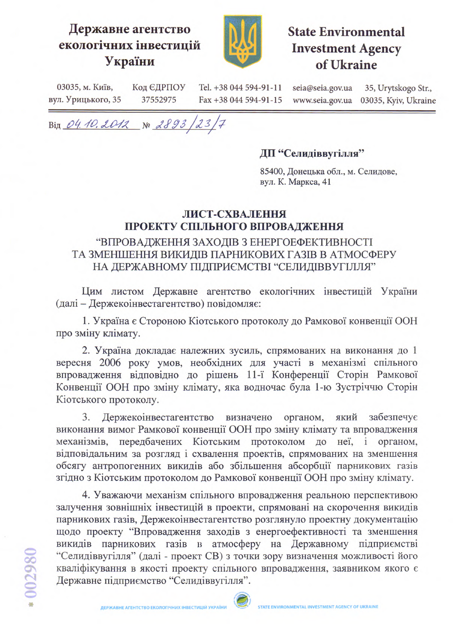## Державне агентство екологічних інвестицій України



# **State Environmental Investment Agency** of Ukraine

03035, м. Київ, Код ЄДРПОУ Tel. +38 044 594-91-11 seia@seia.gov.ua 35, Urytskogo Str., вул. Урицького, 35 37552975 Fax +38 044 594-91-15 www.seia.gov.ua 03035, Kyiv, Ukraine

Bin 04.10.2012 No 2893/23/7

#### ДП "Селидіввугілля"

85400, Донецька обл., м. Селидове, вул. К. Маркса, 41

### ЛИСТ-СХВАЛЕННЯ ПРОЕКТУ СПІЛЬНОГО ВПРОВАДЖЕННЯ

## "ВПРОВАДЖЕННЯ ЗАХОДІВ З ЕНЕРГОЕФЕКТИВНОСТІ ТА ЗМЕНШЕННЯ ВИКИДІВ ПАРНИКОВИХ ГАЗІВ В АТМОСФЕРУ НА ДЕРЖАВНОМУ ПІДПРИЄМСТВІ "СЕЛИДІВВУГІЛЛЯ"

Цим листом Державне агентство екологічних інвестицій України (далі - Держекоінвестагентство) повідомляє:

1. Україна є Стороною Кіотського протоколу до Рамкової конвенції ООН про зміну клімату.

2. Україна докладає належних зусиль, спрямованих на виконання до 1 вересня 2006 року умов, необхідних для участі в механізмі спільного впровадження відповідно до рішень 11-ї Конференції Сторін Рамкової Конвенції ООН про зміну клімату, яка водночас була 1-ю Зустріччю Сторін Кіотського протоколу.

 $3.$ Держекоінвестагентство визначено органом, який забезпечує виконання вимог Рамкової конвенції ООН про зміну клімату та впровадження передбачених Кіотським протоколом до неї, і органом, механізмів, відповідальним за розгляд і схвалення проектів, спрямованих на зменшення обсягу антропогенних викидів або збільшення абсорбції парникових газів згідно з Кіотським протоколом до Рамкової конвенції ООН про зміну клімату.

4. Уважаючи механізм спільного впровадження реальною перспективою залучення зовнішніх інвестицій в проекти, спрямовані на скорочення викидів парникових газів, Держекоінвестагентство розглянуло проектну документацію щодо проекту "Впровадження заходів з енергоефективності та зменшення викидів парникових газів в атмосферу на Державному підприємстві "Селидіввугілля" (далі - проект CB) з точки зору визначення можливості його кваліфікування в якості проекту спільного впровадження, заявником якого є Державне підприємство "Селидіввугілля".